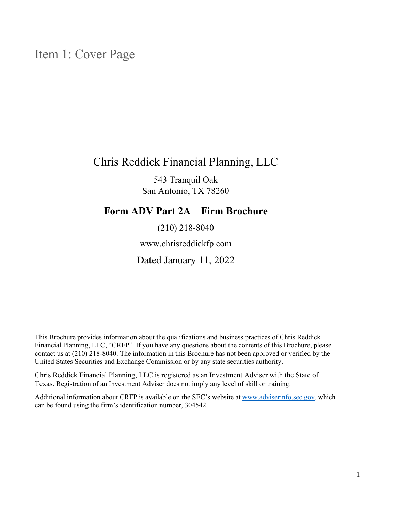# Item 1: Cover Page

## Chris Reddick Financial Planning, LLC

543 Tranquil Oak San Antonio, TX 78260

## **Form ADV Part 2A – Firm Brochure**

(210) 218‐8040

www.chrisreddickfp.com

Dated January 11, 2022

This Brochure provides information about the qualifications and business practices of Chris Reddick Financial Planning, LLC, "CRFP". If you have any questions about the contents of this Brochure, please contact us at (210) 218‐8040. The information in this Brochure has not been approved or verified by the United States Securities and Exchange Commission or by any state securities authority.

Chris Reddick Financial Planning, LLC is registered as an Investment Adviser with the State of Texas. Registration of an Investment Adviser does not imply any level of skill or training.

Additional information about CRFP is available on the SEC's website at www.adviserinfo.sec.gov, which can be found using the firm's identification number, 304542.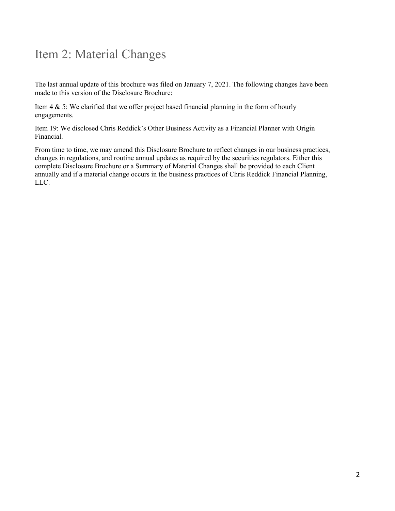# Item 2: Material Changes

The last annual update of this brochure was filed on January 7, 2021. The following changes have been made to this version of the Disclosure Brochure:

Item  $4 \& 5$ : We clarified that we offer project based financial planning in the form of hourly engagements.

Item 19: We disclosed Chris Reddick's Other Business Activity as a Financial Planner with Origin Financial.

From time to time, we may amend this Disclosure Brochure to reflect changes in our business practices, changes in regulations, and routine annual updates as required by the securities regulators. Either this complete Disclosure Brochure or a Summary of Material Changes shall be provided to each Client annually and if a material change occurs in the business practices of Chris Reddick Financial Planning, LLC.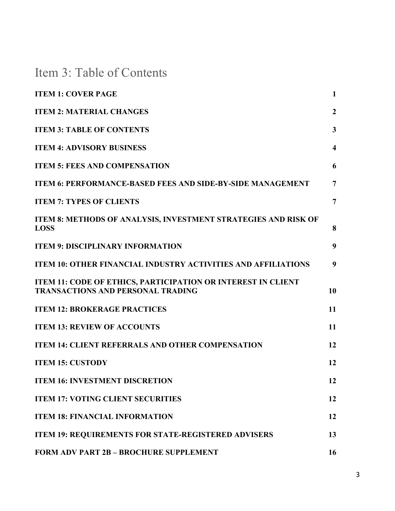Item 3: Table of Contents

| <b>ITEM 1: COVER PAGE</b>                                                                                | $\mathbf{1}$            |
|----------------------------------------------------------------------------------------------------------|-------------------------|
| <b>ITEM 2: MATERIAL CHANGES</b>                                                                          | $\boldsymbol{2}$        |
| <b>ITEM 3: TABLE OF CONTENTS</b>                                                                         | $\mathbf{3}$            |
| <b>ITEM 4: ADVISORY BUSINESS</b>                                                                         | $\overline{\mathbf{4}}$ |
| <b>ITEM 5: FEES AND COMPENSATION</b>                                                                     | 6                       |
| <b>ITEM 6: PERFORMANCE-BASED FEES AND SIDE-BY-SIDE MANAGEMENT</b>                                        | $\overline{7}$          |
| <b>ITEM 7: TYPES OF CLIENTS</b>                                                                          | $\overline{7}$          |
| ITEM 8: METHODS OF ANALYSIS, INVESTMENT STRATEGIES AND RISK OF<br><b>LOSS</b>                            | 8                       |
| <b>ITEM 9: DISCIPLINARY INFORMATION</b>                                                                  | 9                       |
| <b>ITEM 10: OTHER FINANCIAL INDUSTRY ACTIVITIES AND AFFILIATIONS</b>                                     | 9                       |
| ITEM 11: CODE OF ETHICS, PARTICIPATION OR INTEREST IN CLIENT<br><b>TRANSACTIONS AND PERSONAL TRADING</b> | 10                      |
| <b>ITEM 12: BROKERAGE PRACTICES</b>                                                                      | 11                      |
| <b>ITEM 13: REVIEW OF ACCOUNTS</b>                                                                       | 11                      |
| <b>ITEM 14: CLIENT REFERRALS AND OTHER COMPENSATION</b>                                                  | 12                      |
| <b>ITEM 15: CUSTODY</b>                                                                                  | 12                      |
| <b>ITEM 16: INVESTMENT DISCRETION</b>                                                                    | 12                      |
| <b>ITEM 17: VOTING CLIENT SECURITIES</b>                                                                 | 12                      |
| <b>ITEM 18: FINANCIAL INFORMATION</b>                                                                    | 12                      |
| <b>ITEM 19: REQUIREMENTS FOR STATE-REGISTERED ADVISERS</b>                                               | 13                      |
| <b>FORM ADV PART 2B - BROCHURE SUPPLEMENT</b>                                                            | 16                      |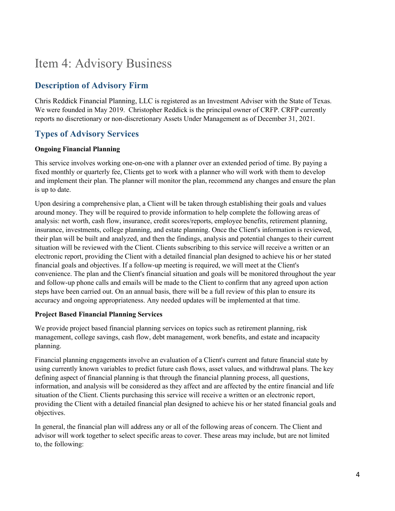# Item 4: Advisory Business

### **Description of Advisory Firm**

Chris Reddick Financial Planning, LLC is registered as an Investment Adviser with the State of Texas. We were founded in May 2019. Christopher Reddick is the principal owner of CRFP. CRFP currently reports no discretionary or non-discretionary Assets Under Management as of December 31, 2021.

## **Types of Advisory Services**

#### **Ongoing Financial Planning**

This service involves working one-on-one with a planner over an extended period of time. By paying a fixed monthly or quarterly fee, Clients get to work with a planner who will work with them to develop and implement their plan. The planner will monitor the plan, recommend any changes and ensure the plan is up to date.

Upon desiring a comprehensive plan, a Client will be taken through establishing their goals and values around money. They will be required to provide information to help complete the following areas of analysis: net worth, cash flow, insurance, credit scores/reports, employee benefits, retirement planning, insurance, investments, college planning, and estate planning. Once the Client's information is reviewed, their plan will be built and analyzed, and then the findings, analysis and potential changes to their current situation will be reviewed with the Client. Clients subscribing to this service will receive a written or an electronic report, providing the Client with a detailed financial plan designed to achieve his or her stated financial goals and objectives. If a follow-up meeting is required, we will meet at the Client's convenience. The plan and the Client's financial situation and goals will be monitored throughout the year and follow-up phone calls and emails will be made to the Client to confirm that any agreed upon action steps have been carried out. On an annual basis, there will be a full review of this plan to ensure its accuracy and ongoing appropriateness. Any needed updates will be implemented at that time.

#### **Project Based Financial Planning Services**

We provide project based financial planning services on topics such as retirement planning, risk management, college savings, cash flow, debt management, work benefits, and estate and incapacity planning.

Financial planning engagements involve an evaluation of a Client's current and future financial state by using currently known variables to predict future cash flows, asset values, and withdrawal plans. The key defining aspect of financial planning is that through the financial planning process, all questions, information, and analysis will be considered as they affect and are affected by the entire financial and life situation of the Client. Clients purchasing this service will receive a written or an electronic report, providing the Client with a detailed financial plan designed to achieve his or her stated financial goals and objectives.

In general, the financial plan will address any or all of the following areas of concern. The Client and advisor will work together to select specific areas to cover. These areas may include, but are not limited to, the following: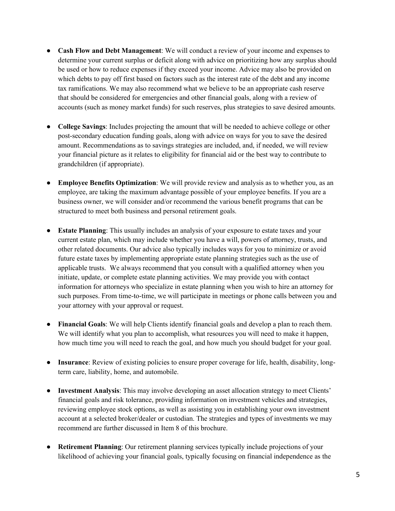- **Cash Flow and Debt Management**: We will conduct a review of your income and expenses to determine your current surplus or deficit along with advice on prioritizing how any surplus should be used or how to reduce expenses if they exceed your income. Advice may also be provided on which debts to pay off first based on factors such as the interest rate of the debt and any income tax ramifications. We may also recommend what we believe to be an appropriate cash reserve that should be considered for emergencies and other financial goals, along with a review of accounts (such as money market funds) for such reserves, plus strategies to save desired amounts.
- **College Savings**: Includes projecting the amount that will be needed to achieve college or other post-secondary education funding goals, along with advice on ways for you to save the desired amount. Recommendations as to savings strategies are included, and, if needed, we will review your financial picture as it relates to eligibility for financial aid or the best way to contribute to grandchildren (if appropriate).
- **Employee Benefits Optimization**: We will provide review and analysis as to whether you, as an employee, are taking the maximum advantage possible of your employee benefits. If you are a business owner, we will consider and/or recommend the various benefit programs that can be structured to meet both business and personal retirement goals.
- **Estate Planning**: This usually includes an analysis of your exposure to estate taxes and your current estate plan, which may include whether you have a will, powers of attorney, trusts, and other related documents. Our advice also typically includes ways for you to minimize or avoid future estate taxes by implementing appropriate estate planning strategies such as the use of applicable trusts. We always recommend that you consult with a qualified attorney when you initiate, update, or complete estate planning activities. We may provide you with contact information for attorneys who specialize in estate planning when you wish to hire an attorney for such purposes. From time-to-time, we will participate in meetings or phone calls between you and your attorney with your approval or request.
- **Financial Goals**: We will help Clients identify financial goals and develop a plan to reach them. We will identify what you plan to accomplish, what resources you will need to make it happen, how much time you will need to reach the goal, and how much you should budget for your goal.
- **Insurance**: Review of existing policies to ensure proper coverage for life, health, disability, longterm care, liability, home, and automobile.
- **Investment Analysis**: This may involve developing an asset allocation strategy to meet Clients' financial goals and risk tolerance, providing information on investment vehicles and strategies, reviewing employee stock options, as well as assisting you in establishing your own investment account at a selected broker/dealer or custodian. The strategies and types of investments we may recommend are further discussed in Item 8 of this brochure.
- **Retirement Planning**: Our retirement planning services typically include projections of your likelihood of achieving your financial goals, typically focusing on financial independence as the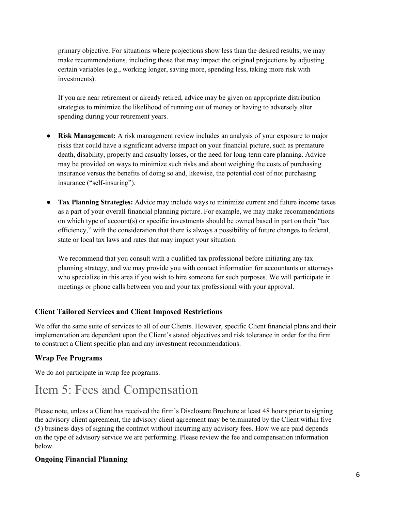primary objective. For situations where projections show less than the desired results, we may make recommendations, including those that may impact the original projections by adjusting certain variables (e.g., working longer, saving more, spending less, taking more risk with investments).

If you are near retirement or already retired, advice may be given on appropriate distribution strategies to minimize the likelihood of running out of money or having to adversely alter spending during your retirement years.

- **Risk Management:** A risk management review includes an analysis of your exposure to major risks that could have a significant adverse impact on your financial picture, such as premature death, disability, property and casualty losses, or the need for long-term care planning. Advice may be provided on ways to minimize such risks and about weighing the costs of purchasing insurance versus the benefits of doing so and, likewise, the potential cost of not purchasing insurance ("self‐insuring").
- **Tax Planning Strategies:** Advice may include ways to minimize current and future income taxes as a part of your overall financial planning picture. For example, we may make recommendations on which type of account(s) or specific investments should be owned based in part on their "tax efficiency," with the consideration that there is always a possibility of future changes to federal, state or local tax laws and rates that may impact your situation.

We recommend that you consult with a qualified tax professional before initiating any tax planning strategy, and we may provide you with contact information for accountants or attorneys who specialize in this area if you wish to hire someone for such purposes. We will participate in meetings or phone calls between you and your tax professional with your approval.

#### **Client Tailored Services and Client Imposed Restrictions**

We offer the same suite of services to all of our Clients. However, specific Client financial plans and their implementation are dependent upon the Client's stated objectives and risk tolerance in order for the firm to construct a Client specific plan and any investment recommendations.

### **Wrap Fee Programs**

We do not participate in wrap fee programs.

# Item 5: Fees and Compensation

Please note, unless a Client has received the firm's Disclosure Brochure at least 48 hours prior to signing the advisory client agreement, the advisory client agreement may be terminated by the Client within five (5) business days of signing the contract without incurring any advisory fees. How we are paid depends on the type of advisory service we are performing. Please review the fee and compensation information below.

#### **Ongoing Financial Planning**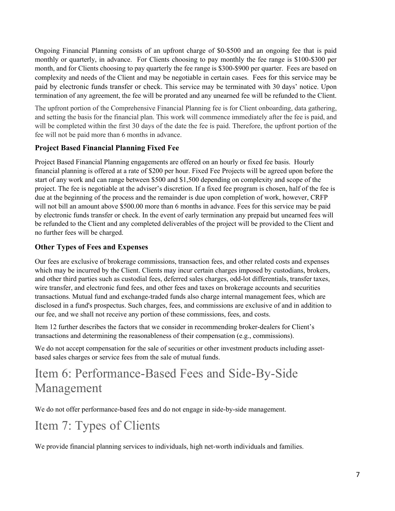Ongoing Financial Planning consists of an upfront charge of \$0-\$500 and an ongoing fee that is paid monthly or quarterly, in advance. For Clients choosing to pay monthly the fee range is \$100-\$300 per month, and for Clients choosing to pay quarterly the fee range is \$300-\$900 per quarter. Fees are based on complexity and needs of the Client and may be negotiable in certain cases. Fees for this service may be paid by electronic funds transfer or check. This service may be terminated with 30 days' notice. Upon termination of any agreement, the fee will be prorated and any unearned fee will be refunded to the Client.

The upfront portion of the Comprehensive Financial Planning fee is for Client onboarding, data gathering, and setting the basis for the financial plan. This work will commence immediately after the fee is paid, and will be completed within the first 30 days of the date the fee is paid. Therefore, the upfront portion of the fee will not be paid more than 6 months in advance.

#### **Project Based Financial Planning Fixed Fee**

Project Based Financial Planning engagements are offered on an hourly or fixed fee basis. Hourly financial planning is offered at a rate of \$200 per hour. Fixed Fee Projects will be agreed upon before the start of any work and can range between \$500 and \$1,500 depending on complexity and scope of the project. The fee is negotiable at the adviser's discretion. If a fixed fee program is chosen, half of the fee is due at the beginning of the process and the remainder is due upon completion of work, however, CRFP will not bill an amount above \$500.00 more than 6 months in advance. Fees for this service may be paid by electronic funds transfer or check. In the event of early termination any prepaid but unearned fees will be refunded to the Client and any completed deliverables of the project will be provided to the Client and no further fees will be charged.

### **Other Types of Fees and Expenses**

Our fees are exclusive of brokerage commissions, transaction fees, and other related costs and expenses which may be incurred by the Client. Clients may incur certain charges imposed by custodians, brokers, and other third parties such as custodial fees, deferred sales charges, odd-lot differentials, transfer taxes, wire transfer, and electronic fund fees, and other fees and taxes on brokerage accounts and securities transactions. Mutual fund and exchange-traded funds also charge internal management fees, which are disclosed in a fund's prospectus. Such charges, fees, and commissions are exclusive of and in addition to our fee, and we shall not receive any portion of these commissions, fees, and costs.

Item 12 further describes the factors that we consider in recommending broker-dealers for Client's transactions and determining the reasonableness of their compensation (e.g., commissions).

We do not accept compensation for the sale of securities or other investment products including assetbased sales charges or service fees from the sale of mutual funds.

# Item 6: Performance-Based Fees and Side-By-Side Management

We do not offer performance-based fees and do not engage in side-by-side management.

# Item 7: Types of Clients

We provide financial planning services to individuals, high net-worth individuals and families.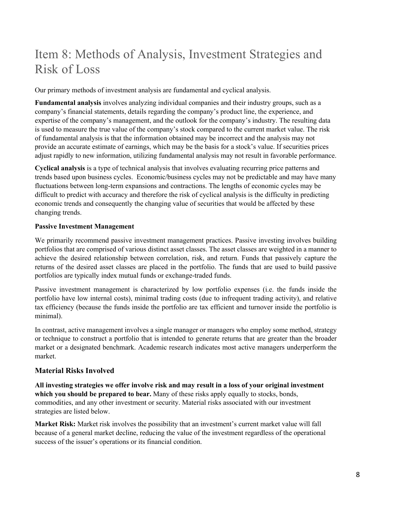# Item 8: Methods of Analysis, Investment Strategies and Risk of Loss

Our primary methods of investment analysis are fundamental and cyclical analysis.

**Fundamental analysis** involves analyzing individual companies and their industry groups, such as a company's financial statements, details regarding the company's product line, the experience, and expertise of the company's management, and the outlook for the company's industry. The resulting data is used to measure the true value of the company's stock compared to the current market value. The risk of fundamental analysis is that the information obtained may be incorrect and the analysis may not provide an accurate estimate of earnings, which may be the basis for a stock's value. If securities prices adjust rapidly to new information, utilizing fundamental analysis may not result in favorable performance.

**Cyclical analysis** is a type of technical analysis that involves evaluating recurring price patterns and trends based upon business cycles. Economic/business cycles may not be predictable and may have many fluctuations between long-term expansions and contractions. The lengths of economic cycles may be difficult to predict with accuracy and therefore the risk of cyclical analysis is the difficulty in predicting economic trends and consequently the changing value of securities that would be affected by these changing trends.

#### **Passive Investment Management**

We primarily recommend passive investment management practices. Passive investing involves building portfolios that are comprised of various distinct asset classes. The asset classes are weighted in a manner to achieve the desired relationship between correlation, risk, and return. Funds that passively capture the returns of the desired asset classes are placed in the portfolio. The funds that are used to build passive portfolios are typically index mutual funds or exchange-traded funds.

Passive investment management is characterized by low portfolio expenses (i.e. the funds inside the portfolio have low internal costs), minimal trading costs (due to infrequent trading activity), and relative tax efficiency (because the funds inside the portfolio are tax efficient and turnover inside the portfolio is minimal).

In contrast, active management involves a single manager or managers who employ some method, strategy or technique to construct a portfolio that is intended to generate returns that are greater than the broader market or a designated benchmark. Academic research indicates most active managers underperform the market.

#### **Material Risks Involved**

**All investing strategies we offer involve risk and may result in a loss of your original investment which you should be prepared to bear.** Many of these risks apply equally to stocks, bonds, commodities, and any other investment or security. Material risks associated with our investment strategies are listed below.

**Market Risk:** Market risk involves the possibility that an investment's current market value will fall because of a general market decline, reducing the value of the investment regardless of the operational success of the issuer's operations or its financial condition.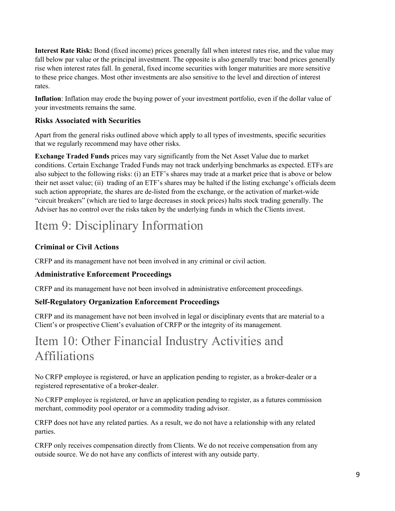**Interest Rate Risk:** Bond (fixed income) prices generally fall when interest rates rise, and the value may fall below par value or the principal investment. The opposite is also generally true: bond prices generally rise when interest rates fall. In general, fixed income securities with longer maturities are more sensitive to these price changes. Most other investments are also sensitive to the level and direction of interest rates.

**Inflation**: Inflation may erode the buying power of your investment portfolio, even if the dollar value of your investments remains the same.

#### **Risks Associated with Securities**

Apart from the general risks outlined above which apply to all types of investments, specific securities that we regularly recommend may have other risks.

**Exchange Traded Funds** prices may vary significantly from the Net Asset Value due to market conditions. Certain Exchange Traded Funds may not track underlying benchmarks as expected. ETFs are also subject to the following risks: (i) an ETF's shares may trade at a market price that is above or below their net asset value; (ii) trading of an ETF's shares may be halted if the listing exchange's officials deem such action appropriate, the shares are de-listed from the exchange, or the activation of market-wide "circuit breakers" (which are tied to large decreases in stock prices) halts stock trading generally. The Adviser has no control over the risks taken by the underlying funds in which the Clients invest.

# Item 9: Disciplinary Information

### **Criminal or Civil Actions**

CRFP and its management have not been involved in any criminal or civil action.

#### **Administrative Enforcement Proceedings**

CRFP and its management have not been involved in administrative enforcement proceedings.

#### **Self-Regulatory Organization Enforcement Proceedings**

CRFP and its management have not been involved in legal or disciplinary events that are material to a Client's or prospective Client's evaluation of CRFP or the integrity of its management.

# Item 10: Other Financial Industry Activities and Affiliations

No CRFP employee is registered, or have an application pending to register, as a broker-dealer or a registered representative of a broker-dealer.

No CRFP employee is registered, or have an application pending to register, as a futures commission merchant, commodity pool operator or a commodity trading advisor.

CRFP does not have any related parties. As a result, we do not have a relationship with any related parties.

CRFP only receives compensation directly from Clients. We do not receive compensation from any outside source. We do not have any conflicts of interest with any outside party.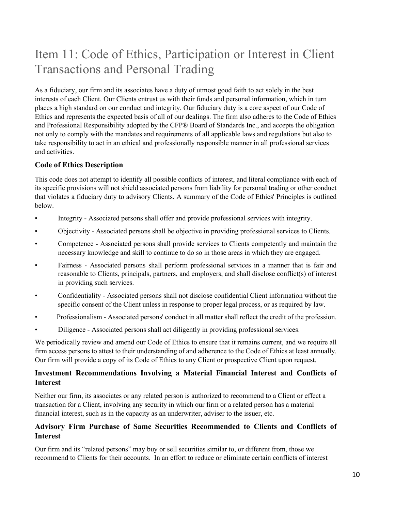# Item 11: Code of Ethics, Participation or Interest in Client Transactions and Personal Trading

As a fiduciary, our firm and its associates have a duty of utmost good faith to act solely in the best interests of each Client. Our Clients entrust us with their funds and personal information, which in turn places a high standard on our conduct and integrity. Our fiduciary duty is a core aspect of our Code of Ethics and represents the expected basis of all of our dealings. The firm also adheres to the Code of Ethics and Professional Responsibility adopted by the CFP® Board of Standards Inc., and accepts the obligation not only to comply with the mandates and requirements of all applicable laws and regulations but also to take responsibility to act in an ethical and professionally responsible manner in all professional services and activities.

#### **Code of Ethics Description**

This code does not attempt to identify all possible conflicts of interest, and literal compliance with each of its specific provisions will not shield associated persons from liability for personal trading or other conduct that violates a fiduciary duty to advisory Clients. A summary of the Code of Ethics' Principles is outlined below.

- Integrity Associated persons shall offer and provide professional services with integrity.
- Objectivity Associated persons shall be objective in providing professional services to Clients.
- Competence Associated persons shall provide services to Clients competently and maintain the necessary knowledge and skill to continue to do so in those areas in which they are engaged.
- Fairness Associated persons shall perform professional services in a manner that is fair and reasonable to Clients, principals, partners, and employers, and shall disclose conflict(s) of interest in providing such services.
- Confidentiality Associated persons shall not disclose confidential Client information without the specific consent of the Client unless in response to proper legal process, or as required by law.
- Professionalism Associated persons' conduct in all matter shall reflect the credit of the profession.
- Diligence Associated persons shall act diligently in providing professional services.

We periodically review and amend our Code of Ethics to ensure that it remains current, and we require all firm access persons to attest to their understanding of and adherence to the Code of Ethics at least annually. Our firm will provide a copy of its Code of Ethics to any Client or prospective Client upon request.

#### **Investment Recommendations Involving a Material Financial Interest and Conflicts of Interest**

Neither our firm, its associates or any related person is authorized to recommend to a Client or effect a transaction for a Client, involving any security in which our firm or a related person has a material financial interest, such as in the capacity as an underwriter, adviser to the issuer, etc.

#### **Advisory Firm Purchase of Same Securities Recommended to Clients and Conflicts of Interest**

Our firm and its "related persons" may buy or sell securities similar to, or different from, those we recommend to Clients for their accounts. In an effort to reduce or eliminate certain conflicts of interest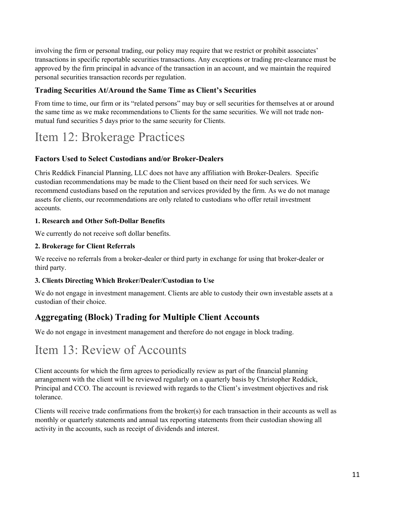involving the firm or personal trading, our policy may require that we restrict or prohibit associates' transactions in specific reportable securities transactions. Any exceptions or trading pre-clearance must be approved by the firm principal in advance of the transaction in an account, and we maintain the required personal securities transaction records per regulation.

#### **Trading Securities At/Around the Same Time as Client's Securities**

From time to time, our firm or its "related persons" may buy or sell securities for themselves at or around the same time as we make recommendations to Clients for the same securities. We will not trade nonmutual fund securities 5 days prior to the same security for Clients.

# Item 12: Brokerage Practices

#### **Factors Used to Select Custodians and/or Broker-Dealers**

Chris Reddick Financial Planning, LLC does not have any affiliation with Broker-Dealers. Specific custodian recommendations may be made to the Client based on their need for such services. We recommend custodians based on the reputation and services provided by the firm. As we do not manage assets for clients, our recommendations are only related to custodians who offer retail investment accounts.

#### **1. Research and Other Soft-Dollar Benefits**

We currently do not receive soft dollar benefits.

#### **2. Brokerage for Client Referrals**

We receive no referrals from a broker-dealer or third party in exchange for using that broker-dealer or third party.

#### **3. Clients Directing Which Broker/Dealer/Custodian to Use**

We do not engage in investment management. Clients are able to custody their own investable assets at a custodian of their choice.

### **Aggregating (Block) Trading for Multiple Client Accounts**

We do not engage in investment management and therefore do not engage in block trading.

# Item 13: Review of Accounts

Client accounts for which the firm agrees to periodically review as part of the financial planning arrangement with the client will be reviewed regularly on a quarterly basis by Christopher Reddick, Principal and CCO. The account is reviewed with regards to the Client's investment objectives and risk tolerance.

Clients will receive trade confirmations from the broker(s) for each transaction in their accounts as well as monthly or quarterly statements and annual tax reporting statements from their custodian showing all activity in the accounts, such as receipt of dividends and interest.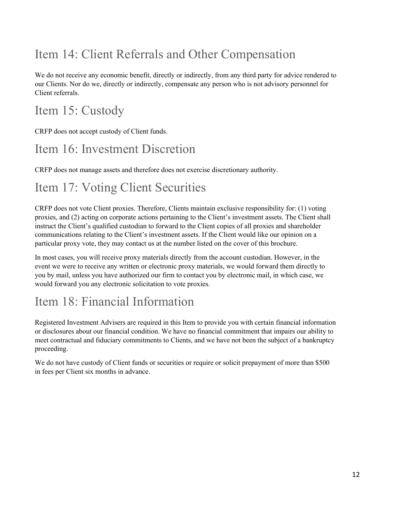# Item 14: Client Referrals and Other Compensation

We do not receive any economic benefit, directly or indirectly, from any third party for advice rendered to our Clients. Nor do we, directly or indirectly, compensate any person who is not advisory personnel for Client referrals.

# Item 15: Custody

CRFP does not accept custody of Client funds.

# Item 16: Investment Discretion

CRFP does not manage assets and therefore does not exercise discretionary authority.

# Item 17: Voting Client Securities

CRFP does not vote Client proxies. Therefore, Clients maintain exclusive responsibility for: (1) voting proxies, and (2) acting on corporate actions pertaining to the Client's investment assets. The Client shall instruct the Client's qualified custodian to forward to the Client copies of all proxies and shareholder communications relating to the Client's investment assets. If the Client would like our opinion on a particular proxy vote, they may contact us at the number listed on the cover of this brochure.

In most cases, you will receive proxy materials directly from the account custodian. However, in the event we were to receive any written or electronic proxy materials, we would forward them directly to you by mail, unless you have authorized our firm to contact you by electronic mail, in which case, we would forward you any electronic solicitation to vote proxies.

# Item 18: Financial Information

Registered Investment Advisers are required in this Item to provide you with certain financial information or disclosures about our financial condition. We have no financial commitment that impairs our ability to meet contractual and fiduciary commitments to Clients, and we have not been the subject of a bankruptcy proceeding.

We do not have custody of Client funds or securities or require or solicit prepayment of more than \$500 in fees per Client six months in advance.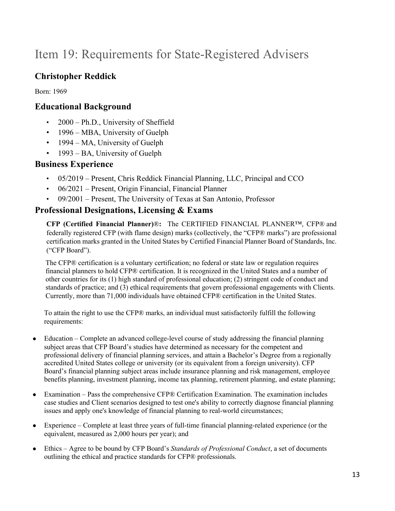# Item 19: Requirements for State-Registered Advisers

## **Christopher Reddick**

Born: 1969

### **Educational Background**

- 2000 Ph.D., University of Sheffield
- 1996 MBA, University of Guelph
- 1994 MA, University of Guelph
- 1993 BA, University of Guelph

### **Business Experience**

- 05/2019 Present, Chris Reddick Financial Planning, LLC, Principal and CCO
- 06/2021 Present, Origin Financial, Financial Planner
- 09/2001 Present, The University of Texas at San Antonio, Professor

### **Professional Designations, Licensing & Exams**

**CFP (Certified Financial Planner)**®**:** The CERTIFIED FINANCIAL PLANNER™, CFP® and federally registered CFP (with flame design) marks (collectively, the "CFP® marks") are professional certification marks granted in the United States by Certified Financial Planner Board of Standards, Inc. ("CFP Board").

The CFP® certification is a voluntary certification; no federal or state law or regulation requires financial planners to hold CFP® certification. It is recognized in the United States and a number of other countries for its (1) high standard of professional education; (2) stringent code of conduct and standards of practice; and (3) ethical requirements that govern professional engagements with Clients. Currently, more than 71,000 individuals have obtained CFP® certification in the United States.

To attain the right to use the CFP® marks, an individual must satisfactorily fulfill the following requirements:

- Education Complete an advanced college-level course of study addressing the financial planning subject areas that CFP Board's studies have determined as necessary for the competent and professional delivery of financial planning services, and attain a Bachelor's Degree from a regionally accredited United States college or university (or its equivalent from a foreign university). CFP Board's financial planning subject areas include insurance planning and risk management, employee benefits planning, investment planning, income tax planning, retirement planning, and estate planning;
- Examination Pass the comprehensive CFP® Certification Examination. The examination includes case studies and Client scenarios designed to test one's ability to correctly diagnose financial planning issues and apply one's knowledge of financial planning to real-world circumstances;
- Experience Complete at least three years of full-time financial planning-related experience (or the equivalent, measured as 2,000 hours per year); and
- Ethics Agree to be bound by CFP Board's *Standards of Professional Conduct*, a set of documents outlining the ethical and practice standards for CFP® professionals.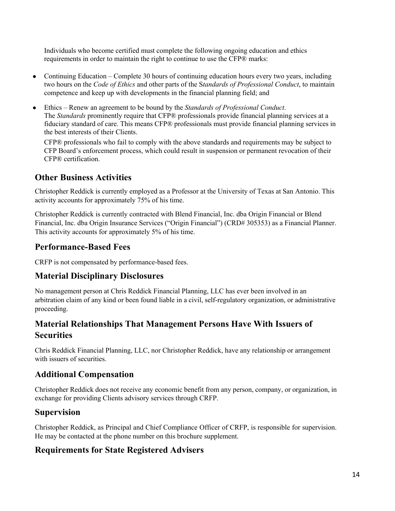Individuals who become certified must complete the following ongoing education and ethics requirements in order to maintain the right to continue to use the CFP® marks:

- Continuing Education Complete 30 hours of continuing education hours every two years, including two hours on the *Code of Ethics* and other parts of the S*tandards of Professional Conduct*, to maintain competence and keep up with developments in the financial planning field; and
- Ethics Renew an agreement to be bound by the *Standards of Professional Conduct*. The *Standards* prominently require that CFP® professionals provide financial planning services at a fiduciary standard of care. This means CFP® professionals must provide financial planning services in the best interests of their Clients.

CFP® professionals who fail to comply with the above standards and requirements may be subject to CFP Board's enforcement process, which could result in suspension or permanent revocation of their CFP® certification.

### **Other Business Activities**

Christopher Reddick is currently employed as a Professor at the University of Texas at San Antonio. This activity accounts for approximately 75% of his time.

Christopher Reddick is currently contracted with Blend Financial, Inc. dba Origin Financial or Blend Financial, Inc. dba Origin Insurance Services ("Origin Financial") (CRD# 305353) as a Financial Planner. This activity accounts for approximately 5% of his time.

### **Performance-Based Fees**

CRFP is not compensated by performance-based fees.

### **Material Disciplinary Disclosures**

No management person at Chris Reddick Financial Planning, LLC has ever been involved in an arbitration claim of any kind or been found liable in a civil, self-regulatory organization, or administrative proceeding.

### **Material Relationships That Management Persons Have With Issuers of Securities**

Chris Reddick Financial Planning, LLC, nor Christopher Reddick, have any relationship or arrangement with issuers of securities.

### **Additional Compensation**

Christopher Reddick does not receive any economic benefit from any person, company, or organization, in exchange for providing Clients advisory services through CRFP.

### **Supervision**

Christopher Reddick, as Principal and Chief Compliance Officer of CRFP, is responsible for supervision. He may be contacted at the phone number on this brochure supplement.

### **Requirements for State Registered Advisers**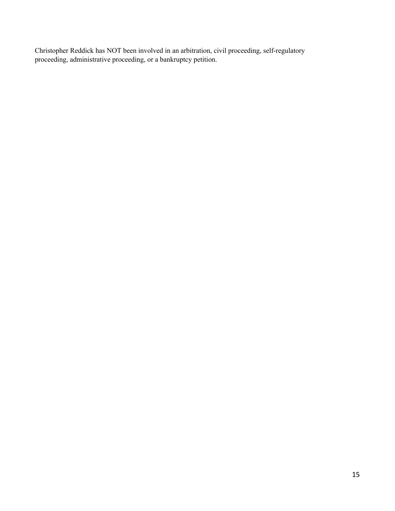Christopher Reddick has NOT been involved in an arbitration, civil proceeding, self-regulatory proceeding, administrative proceeding, or a bankruptcy petition.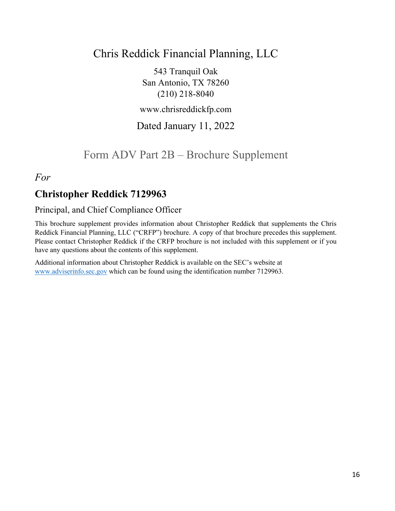# Chris Reddick Financial Planning, LLC

543 Tranquil Oak San Antonio, TX 78260 (210) 218‐8040

www.chrisreddickfp.com

## Dated January 11, 2022

Form ADV Part 2B – Brochure Supplement

*For*

## **Christopher Reddick 7129963**

### Principal, and Chief Compliance Officer

This brochure supplement provides information about Christopher Reddick that supplements the Chris Reddick Financial Planning, LLC ("CRFP") brochure. A copy of that brochure precedes this supplement. Please contact Christopher Reddick if the CRFP brochure is not included with this supplement or if you have any questions about the contents of this supplement.

Additional information about Christopher Reddick is available on the SEC's website at www.adviserinfo.sec.gov which can be found using the identification number 7129963.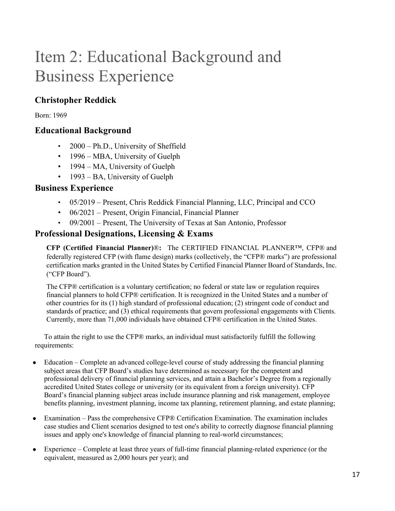# Item 2: Educational Background and Business Experience

## **Christopher Reddick**

Born: 1969

### **Educational Background**

- 2000 Ph.D., University of Sheffield
- 1996 MBA, University of Guelph
- 1994 MA, University of Guelph
- 1993 BA, University of Guelph

#### **Business Experience**

- 05/2019 Present, Chris Reddick Financial Planning, LLC, Principal and CCO
- 06/2021 Present, Origin Financial, Financial Planner
- 09/2001 Present, The University of Texas at San Antonio, Professor

### **Professional Designations, Licensing & Exams**

**CFP (Certified Financial Planner)**®**:** The CERTIFIED FINANCIAL PLANNER™, CFP® and federally registered CFP (with flame design) marks (collectively, the "CFP® marks") are professional certification marks granted in the United States by Certified Financial Planner Board of Standards, Inc. ("CFP Board").

The CFP® certification is a voluntary certification; no federal or state law or regulation requires financial planners to hold CFP® certification. It is recognized in the United States and a number of other countries for its (1) high standard of professional education; (2) stringent code of conduct and standards of practice; and (3) ethical requirements that govern professional engagements with Clients. Currently, more than 71,000 individuals have obtained CFP® certification in the United States.

To attain the right to use the CFP® marks, an individual must satisfactorily fulfill the following requirements:

- Education Complete an advanced college-level course of study addressing the financial planning subject areas that CFP Board's studies have determined as necessary for the competent and professional delivery of financial planning services, and attain a Bachelor's Degree from a regionally accredited United States college or university (or its equivalent from a foreign university). CFP Board's financial planning subject areas include insurance planning and risk management, employee benefits planning, investment planning, income tax planning, retirement planning, and estate planning;
- Examination Pass the comprehensive CFP® Certification Examination. The examination includes case studies and Client scenarios designed to test one's ability to correctly diagnose financial planning issues and apply one's knowledge of financial planning to real-world circumstances;
- Experience Complete at least three years of full-time financial planning-related experience (or the equivalent, measured as 2,000 hours per year); and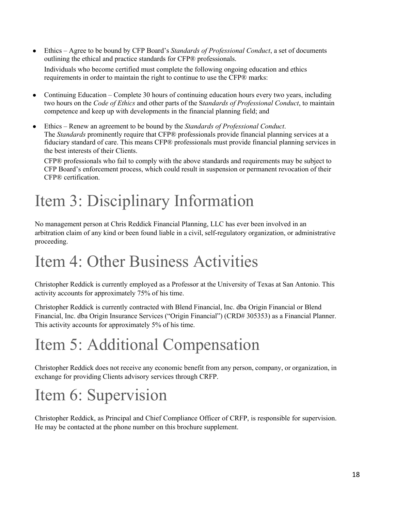- Ethics Agree to be bound by CFP Board's *Standards of Professional Conduct*, a set of documents outlining the ethical and practice standards for CFP® professionals. Individuals who become certified must complete the following ongoing education and ethics requirements in order to maintain the right to continue to use the CFP® marks:
- Continuing Education Complete 30 hours of continuing education hours every two years, including two hours on the *Code of Ethics* and other parts of the S*tandards of Professional Conduct*, to maintain competence and keep up with developments in the financial planning field; and
- Ethics Renew an agreement to be bound by the *Standards of Professional Conduct*. The *Standards* prominently require that CFP® professionals provide financial planning services at a fiduciary standard of care. This means CFP® professionals must provide financial planning services in the best interests of their Clients.

CFP® professionals who fail to comply with the above standards and requirements may be subject to CFP Board's enforcement process, which could result in suspension or permanent revocation of their CFP® certification.

# Item 3: Disciplinary Information

No management person at Chris Reddick Financial Planning, LLC has ever been involved in an arbitration claim of any kind or been found liable in a civil, self-regulatory organization, or administrative proceeding.

# Item 4: Other Business Activities

Christopher Reddick is currently employed as a Professor at the University of Texas at San Antonio. This activity accounts for approximately 75% of his time.

Christopher Reddick is currently contracted with Blend Financial, Inc. dba Origin Financial or Blend Financial, Inc. dba Origin Insurance Services ("Origin Financial") (CRD# 305353) as a Financial Planner. This activity accounts for approximately 5% of his time.

# Item 5: Additional Compensation

Christopher Reddick does not receive any economic benefit from any person, company, or organization, in exchange for providing Clients advisory services through CRFP.

# Item 6: Supervision

Christopher Reddick, as Principal and Chief Compliance Officer of CRFP, is responsible for supervision. He may be contacted at the phone number on this brochure supplement.